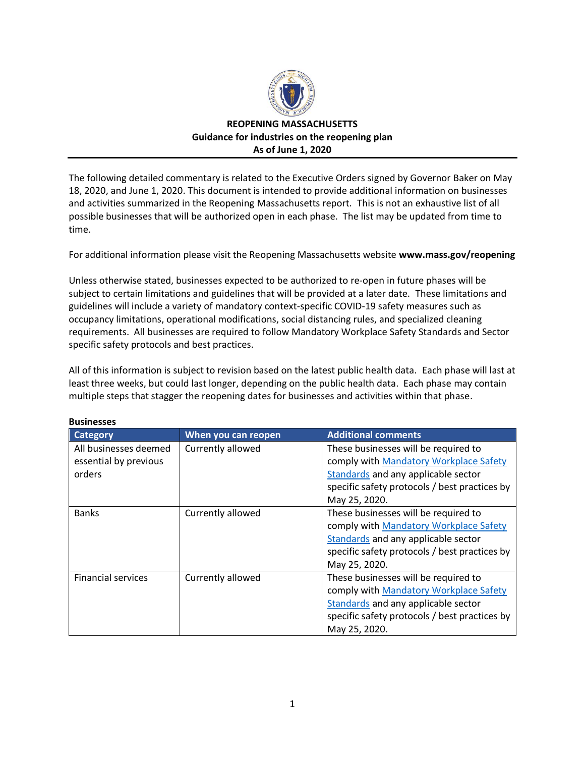

## **REOPENING MASSACHUSETTS Guidance for industries on the reopening plan As of June 1, 2020**

The following detailed commentary is related to the Executive Orders signed by Governor Baker on May 18, 2020, and June 1, 2020. This document is intended to provide additional information on businesses and activities summarized in the Reopening Massachusetts report. This is not an exhaustive list of all possible businesses that will be authorized open in each phase. The list may be updated from time to time.

For additional information please visit the Reopening Massachusetts website **www.mass.gov/reopening**

Unless otherwise stated, businesses expected to be authorized to re-open in future phases will be subject to certain limitations and guidelines that will be provided at a later date. These limitations and guidelines will include a variety of mandatory context-specific COVID-19 safety measures such as occupancy limitations, operational modifications, social distancing rules, and specialized cleaning requirements. All businesses are required to follow Mandatory Workplace Safety Standards and Sector specific safety protocols and best practices.

All of this information is subject to revision based on the latest public health data. Each phase will last at least three weeks, but could last longer, depending on the public health data. Each phase may contain multiple steps that stagger the reopening dates for businesses and activities within that phase.

| риэнгээсэ                 |                     |                                               |
|---------------------------|---------------------|-----------------------------------------------|
| <b>Category</b>           | When you can reopen | <b>Additional comments</b>                    |
| All businesses deemed     | Currently allowed   | These businesses will be required to          |
| essential by previous     |                     | comply with Mandatory Workplace Safety        |
| orders                    |                     | Standards and any applicable sector           |
|                           |                     | specific safety protocols / best practices by |
|                           |                     | May 25, 2020.                                 |
| <b>Banks</b>              | Currently allowed   | These businesses will be required to          |
|                           |                     | comply with Mandatory Workplace Safety        |
|                           |                     | Standards and any applicable sector           |
|                           |                     | specific safety protocols / best practices by |
|                           |                     | May 25, 2020.                                 |
| <b>Financial services</b> | Currently allowed   | These businesses will be required to          |
|                           |                     | comply with Mandatory Workplace Safety        |
|                           |                     | Standards and any applicable sector           |
|                           |                     | specific safety protocols / best practices by |
|                           |                     | May 25, 2020.                                 |

## **Businesses**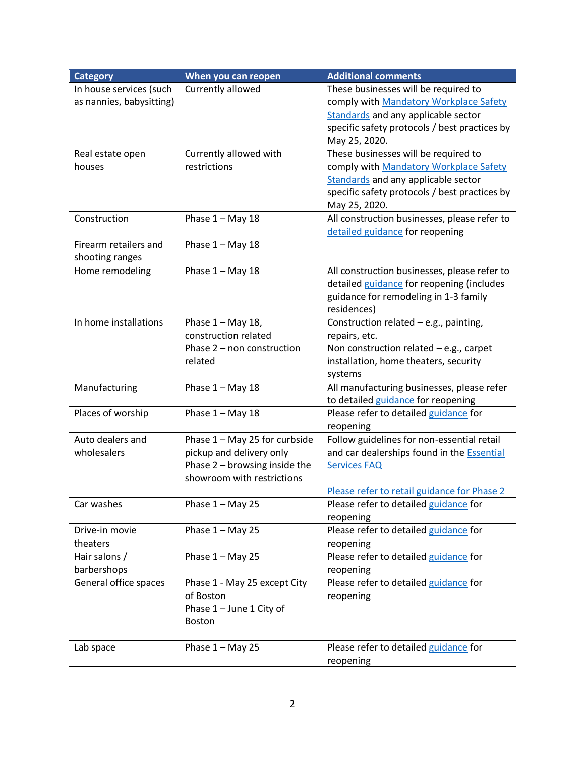| <b>Category</b>          | When you can reopen             | <b>Additional comments</b>                        |
|--------------------------|---------------------------------|---------------------------------------------------|
| In house services (such  | Currently allowed               | These businesses will be required to              |
| as nannies, babysitting) |                                 | comply with Mandatory Workplace Safety            |
|                          |                                 | <b>Standards</b> and any applicable sector        |
|                          |                                 | specific safety protocols / best practices by     |
|                          |                                 | May 25, 2020.                                     |
| Real estate open         | Currently allowed with          | These businesses will be required to              |
| houses                   | restrictions                    | comply with Mandatory Workplace Safety            |
|                          |                                 | <b>Standards</b> and any applicable sector        |
|                          |                                 | specific safety protocols / best practices by     |
|                          |                                 | May 25, 2020.                                     |
| Construction             | Phase $1 - May 18$              | All construction businesses, please refer to      |
|                          |                                 | detailed guidance for reopening                   |
| Firearm retailers and    | Phase $1 - May 18$              |                                                   |
| shooting ranges          |                                 |                                                   |
| Home remodeling          | Phase $1 - May 18$              | All construction businesses, please refer to      |
|                          |                                 | detailed guidance for reopening (includes         |
|                          |                                 | guidance for remodeling in 1-3 family             |
|                          |                                 | residences)                                       |
| In home installations    | Phase $1 -$ May 18,             | Construction related - e.g., painting,            |
|                          | construction related            | repairs, etc.                                     |
|                          | Phase 2 - non construction      | Non construction related $-e.g.,$ carpet          |
|                          | related                         | installation, home theaters, security             |
|                          |                                 | systems                                           |
| Manufacturing            | Phase $1 - May 18$              | All manufacturing businesses, please refer        |
|                          |                                 | to detailed guidance for reopening                |
| Places of worship        | Phase $1 - May 18$              | Please refer to detailed guidance for             |
|                          |                                 | reopening                                         |
| Auto dealers and         | Phase 1 - May 25 for curbside   | Follow guidelines for non-essential retail        |
| wholesalers              | pickup and delivery only        | and car dealerships found in the <b>Essential</b> |
|                          | Phase $2$ – browsing inside the | <b>Services FAQ</b>                               |
|                          | showroom with restrictions      |                                                   |
|                          |                                 | Please refer to retail guidance for Phase 2       |
| Car washes               | Phase $1 -$ May 25              | Please refer to detailed guidance for             |
|                          |                                 | reopening                                         |
| Drive-in movie           | Phase $1 - May 25$              | Please refer to detailed guidance for             |
| theaters                 |                                 | reopening                                         |
| Hair salons /            | Phase $1 - May 25$              | Please refer to detailed guidance for             |
| barbershops              |                                 | reopening                                         |
| General office spaces    | Phase 1 - May 25 except City    | Please refer to detailed guidance for             |
|                          | of Boston                       | reopening                                         |
|                          | Phase 1 - June 1 City of        |                                                   |
|                          | <b>Boston</b>                   |                                                   |
|                          |                                 |                                                   |
| Lab space                | Phase $1 - May 25$              | Please refer to detailed guidance for             |
|                          |                                 | reopening                                         |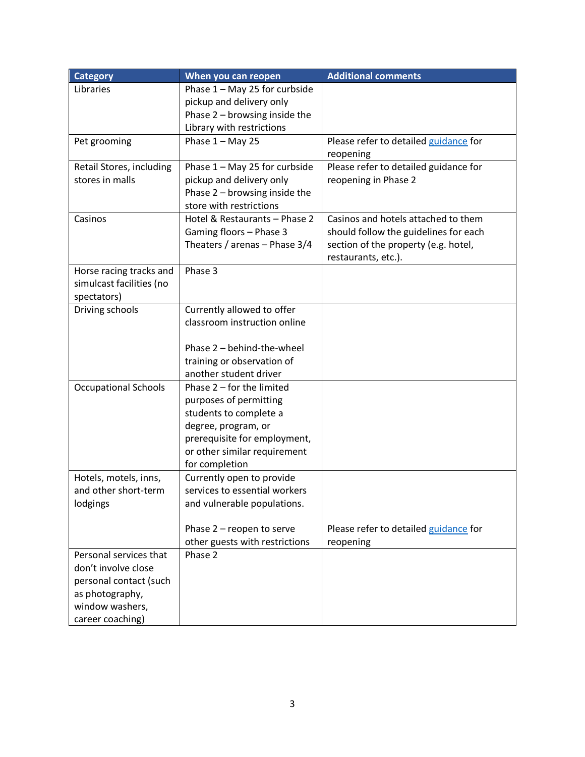| <b>Category</b>             | When you can reopen             | <b>Additional comments</b>            |
|-----------------------------|---------------------------------|---------------------------------------|
| Libraries                   | Phase 1 - May 25 for curbside   |                                       |
|                             | pickup and delivery only        |                                       |
|                             | Phase $2$ – browsing inside the |                                       |
|                             | Library with restrictions       |                                       |
| Pet grooming                | Phase $1 - May 25$              | Please refer to detailed guidance for |
|                             |                                 | reopening                             |
| Retail Stores, including    | Phase 1 - May 25 for curbside   | Please refer to detailed guidance for |
| stores in malls             | pickup and delivery only        | reopening in Phase 2                  |
|                             | Phase 2 - browsing inside the   |                                       |
|                             | store with restrictions         |                                       |
| Casinos                     | Hotel & Restaurants - Phase 2   | Casinos and hotels attached to them   |
|                             | Gaming floors - Phase 3         | should follow the guidelines for each |
|                             | Theaters / arenas - Phase 3/4   | section of the property (e.g. hotel,  |
|                             |                                 | restaurants, etc.).                   |
| Horse racing tracks and     | Phase 3                         |                                       |
| simulcast facilities (no    |                                 |                                       |
| spectators)                 |                                 |                                       |
| Driving schools             | Currently allowed to offer      |                                       |
|                             | classroom instruction online    |                                       |
|                             |                                 |                                       |
|                             | Phase 2 - behind-the-wheel      |                                       |
|                             | training or observation of      |                                       |
|                             | another student driver          |                                       |
| <b>Occupational Schools</b> | Phase $2$ – for the limited     |                                       |
|                             | purposes of permitting          |                                       |
|                             | students to complete a          |                                       |
|                             | degree, program, or             |                                       |
|                             | prerequisite for employment,    |                                       |
|                             | or other similar requirement    |                                       |
|                             | for completion                  |                                       |
| Hotels, motels, inns,       | Currently open to provide       |                                       |
| and other short-term        | services to essential workers   |                                       |
| lodgings                    | and vulnerable populations.     |                                       |
|                             |                                 |                                       |
|                             | Phase 2 - reopen to serve       | Please refer to detailed guidance for |
|                             | other guests with restrictions  | reopening                             |
| Personal services that      | Phase 2                         |                                       |
| don't involve close         |                                 |                                       |
| personal contact (such      |                                 |                                       |
| as photography,             |                                 |                                       |
| window washers,             |                                 |                                       |
| career coaching)            |                                 |                                       |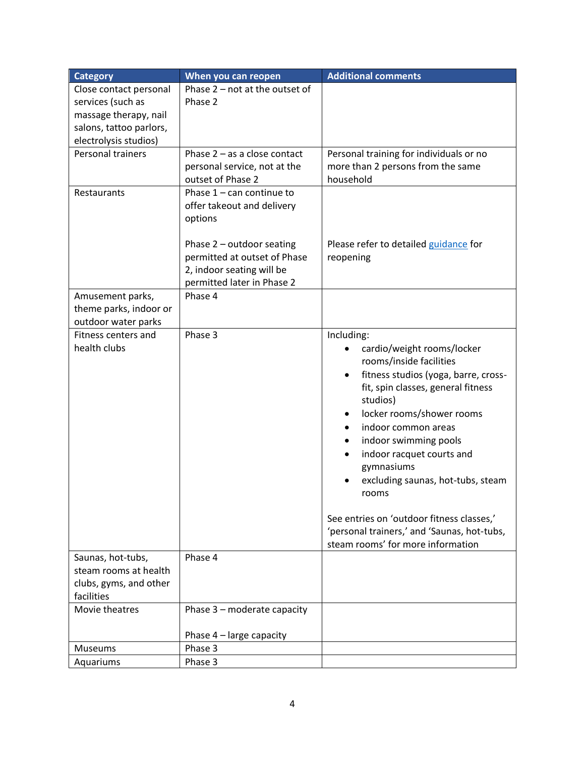| <b>Category</b>                            | When you can reopen            | <b>Additional comments</b>                                                       |
|--------------------------------------------|--------------------------------|----------------------------------------------------------------------------------|
| Close contact personal                     | Phase 2 - not at the outset of |                                                                                  |
| services (such as                          | Phase 2                        |                                                                                  |
| massage therapy, nail                      |                                |                                                                                  |
| salons, tattoo parlors,                    |                                |                                                                                  |
| electrolysis studios)                      |                                |                                                                                  |
| Personal trainers                          | Phase $2 - as a close contact$ | Personal training for individuals or no                                          |
|                                            | personal service, not at the   | more than 2 persons from the same                                                |
|                                            | outset of Phase 2              | household                                                                        |
| Restaurants                                | Phase $1 - can continue to$    |                                                                                  |
|                                            | offer takeout and delivery     |                                                                                  |
|                                            | options                        |                                                                                  |
|                                            |                                |                                                                                  |
|                                            | Phase $2$ – outdoor seating    | Please refer to detailed guidance for                                            |
|                                            | permitted at outset of Phase   | reopening                                                                        |
|                                            | 2, indoor seating will be      |                                                                                  |
|                                            | permitted later in Phase 2     |                                                                                  |
| Amusement parks,                           | Phase 4                        |                                                                                  |
| theme parks, indoor or                     |                                |                                                                                  |
| outdoor water parks                        |                                |                                                                                  |
| Fitness centers and                        | Phase 3                        | Including:                                                                       |
| health clubs                               |                                | cardio/weight rooms/locker                                                       |
|                                            |                                | rooms/inside facilities                                                          |
|                                            |                                | fitness studios (yoga, barre, cross-<br>$\bullet$                                |
|                                            |                                | fit, spin classes, general fitness                                               |
|                                            |                                | studios)                                                                         |
|                                            |                                | locker rooms/shower rooms                                                        |
|                                            |                                | indoor common areas                                                              |
|                                            |                                | indoor swimming pools                                                            |
|                                            |                                | indoor racquet courts and                                                        |
|                                            |                                | gymnasiums                                                                       |
|                                            |                                | excluding saunas, hot-tubs, steam                                                |
|                                            |                                | rooms                                                                            |
|                                            |                                |                                                                                  |
|                                            |                                | See entries on 'outdoor fitness classes,'                                        |
|                                            |                                | 'personal trainers,' and 'Saunas, hot-tubs,<br>steam rooms' for more information |
|                                            | Phase 4                        |                                                                                  |
| Saunas, hot-tubs,<br>steam rooms at health |                                |                                                                                  |
| clubs, gyms, and other                     |                                |                                                                                  |
| facilities                                 |                                |                                                                                  |
| Movie theatres                             | Phase 3 - moderate capacity    |                                                                                  |
|                                            |                                |                                                                                  |
|                                            | Phase 4 - large capacity       |                                                                                  |
| Museums                                    | Phase 3                        |                                                                                  |
| Aquariums                                  | Phase 3                        |                                                                                  |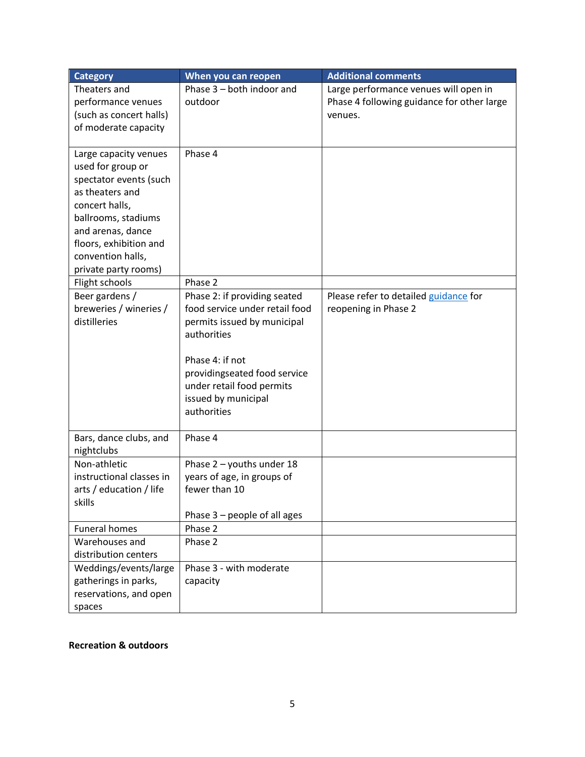| <b>Category</b>                        | When you can reopen                                            | <b>Additional comments</b>                 |
|----------------------------------------|----------------------------------------------------------------|--------------------------------------------|
| Theaters and                           | Phase 3 - both indoor and                                      | Large performance venues will open in      |
| performance venues                     | outdoor                                                        | Phase 4 following guidance for other large |
| (such as concert halls)                |                                                                | venues.                                    |
| of moderate capacity                   |                                                                |                                            |
| Large capacity venues                  | Phase 4                                                        |                                            |
| used for group or                      |                                                                |                                            |
| spectator events (such                 |                                                                |                                            |
| as theaters and                        |                                                                |                                            |
| concert halls,                         |                                                                |                                            |
| ballrooms, stadiums                    |                                                                |                                            |
| and arenas, dance                      |                                                                |                                            |
| floors, exhibition and                 |                                                                |                                            |
| convention halls,                      |                                                                |                                            |
| private party rooms)                   |                                                                |                                            |
| Flight schools                         | Phase 2                                                        |                                            |
| Beer gardens /                         | Phase 2: if providing seated<br>food service under retail food | Please refer to detailed guidance for      |
| breweries / wineries /<br>distilleries | permits issued by municipal                                    | reopening in Phase 2                       |
|                                        | authorities                                                    |                                            |
|                                        |                                                                |                                            |
|                                        | Phase 4: if not                                                |                                            |
|                                        | providingseated food service                                   |                                            |
|                                        | under retail food permits                                      |                                            |
|                                        | issued by municipal                                            |                                            |
|                                        | authorities                                                    |                                            |
|                                        |                                                                |                                            |
| Bars, dance clubs, and                 | Phase 4                                                        |                                            |
| nightclubs                             |                                                                |                                            |
| Non-athletic                           | Phase $2$ – youths under 18                                    |                                            |
| instructional classes in               | years of age, in groups of                                     |                                            |
| arts / education / life                | fewer than 10                                                  |                                            |
| skills                                 | Phase $3$ – people of all ages                                 |                                            |
| <b>Funeral homes</b>                   | Phase 2                                                        |                                            |
| Warehouses and                         | Phase 2                                                        |                                            |
| distribution centers                   |                                                                |                                            |
| Weddings/events/large                  | Phase 3 - with moderate                                        |                                            |
| gatherings in parks,                   | capacity                                                       |                                            |
| reservations, and open                 |                                                                |                                            |
| spaces                                 |                                                                |                                            |

## **Recreation & outdoors**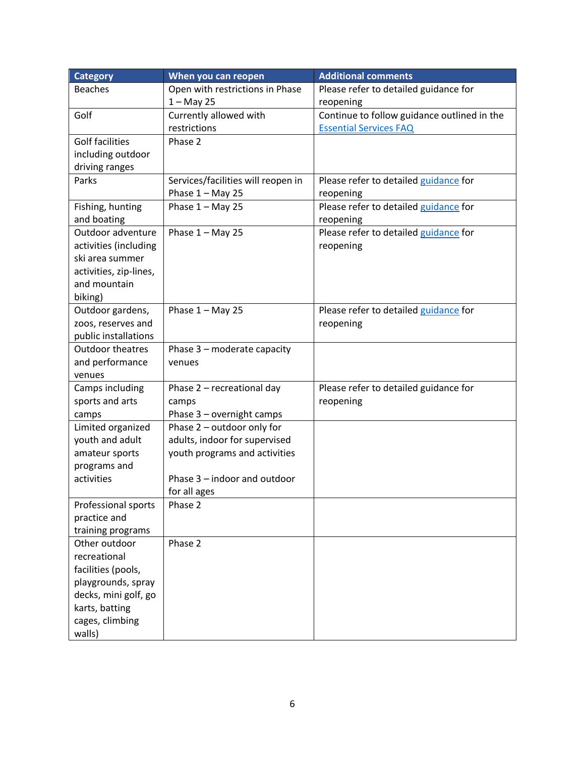| <b>Category</b>                                                                                                 | When you can reopen                | <b>Additional comments</b>                  |
|-----------------------------------------------------------------------------------------------------------------|------------------------------------|---------------------------------------------|
| <b>Beaches</b>                                                                                                  | Open with restrictions in Phase    | Please refer to detailed guidance for       |
|                                                                                                                 | $1 - May 25$                       | reopening                                   |
| Golf                                                                                                            | Currently allowed with             | Continue to follow guidance outlined in the |
|                                                                                                                 | restrictions                       | <b>Essential Services FAQ</b>               |
| <b>Golf facilities</b>                                                                                          | Phase 2                            |                                             |
| including outdoor                                                                                               |                                    |                                             |
| driving ranges                                                                                                  |                                    |                                             |
| Parks                                                                                                           | Services/facilities will reopen in | Please refer to detailed guidance for       |
|                                                                                                                 | Phase $1 -$ May 25                 | reopening                                   |
| Fishing, hunting                                                                                                | Phase $1 - May 25$                 | Please refer to detailed guidance for       |
| and boating                                                                                                     |                                    | reopening                                   |
| Outdoor adventure                                                                                               | Phase $1 -$ May 25                 | Please refer to detailed guidance for       |
| activities (including                                                                                           |                                    | reopening                                   |
| ski area summer                                                                                                 |                                    |                                             |
| activities, zip-lines,                                                                                          |                                    |                                             |
| and mountain                                                                                                    |                                    |                                             |
| biking)                                                                                                         |                                    |                                             |
| Outdoor gardens,                                                                                                | Phase $1 -$ May 25                 | Please refer to detailed guidance for       |
| zoos, reserves and                                                                                              |                                    | reopening                                   |
| public installations                                                                                            |                                    |                                             |
| <b>Outdoor theatres</b>                                                                                         | Phase 3 - moderate capacity        |                                             |
| and performance                                                                                                 | venues                             |                                             |
| venues                                                                                                          |                                    |                                             |
| Camps including                                                                                                 | Phase 2 - recreational day         | Please refer to detailed guidance for       |
| sports and arts                                                                                                 | camps                              | reopening                                   |
| camps                                                                                                           | Phase 3 - overnight camps          |                                             |
| Limited organized                                                                                               | Phase 2 - outdoor only for         |                                             |
| youth and adult                                                                                                 | adults, indoor for supervised      |                                             |
| amateur sports                                                                                                  | youth programs and activities      |                                             |
| programs and                                                                                                    |                                    |                                             |
| activities                                                                                                      | Phase 3 - indoor and outdoor       |                                             |
|                                                                                                                 | for all ages                       |                                             |
| Professional sports                                                                                             | Phase 2                            |                                             |
| practice and                                                                                                    |                                    |                                             |
| training programs                                                                                               |                                    |                                             |
| Other outdoor                                                                                                   | Phase 2                            |                                             |
| recreational                                                                                                    |                                    |                                             |
|                                                                                                                 |                                    |                                             |
|                                                                                                                 |                                    |                                             |
|                                                                                                                 |                                    |                                             |
|                                                                                                                 |                                    |                                             |
|                                                                                                                 |                                    |                                             |
| facilities (pools,<br>playgrounds, spray<br>decks, mini golf, go<br>karts, batting<br>cages, climbing<br>walls) |                                    |                                             |